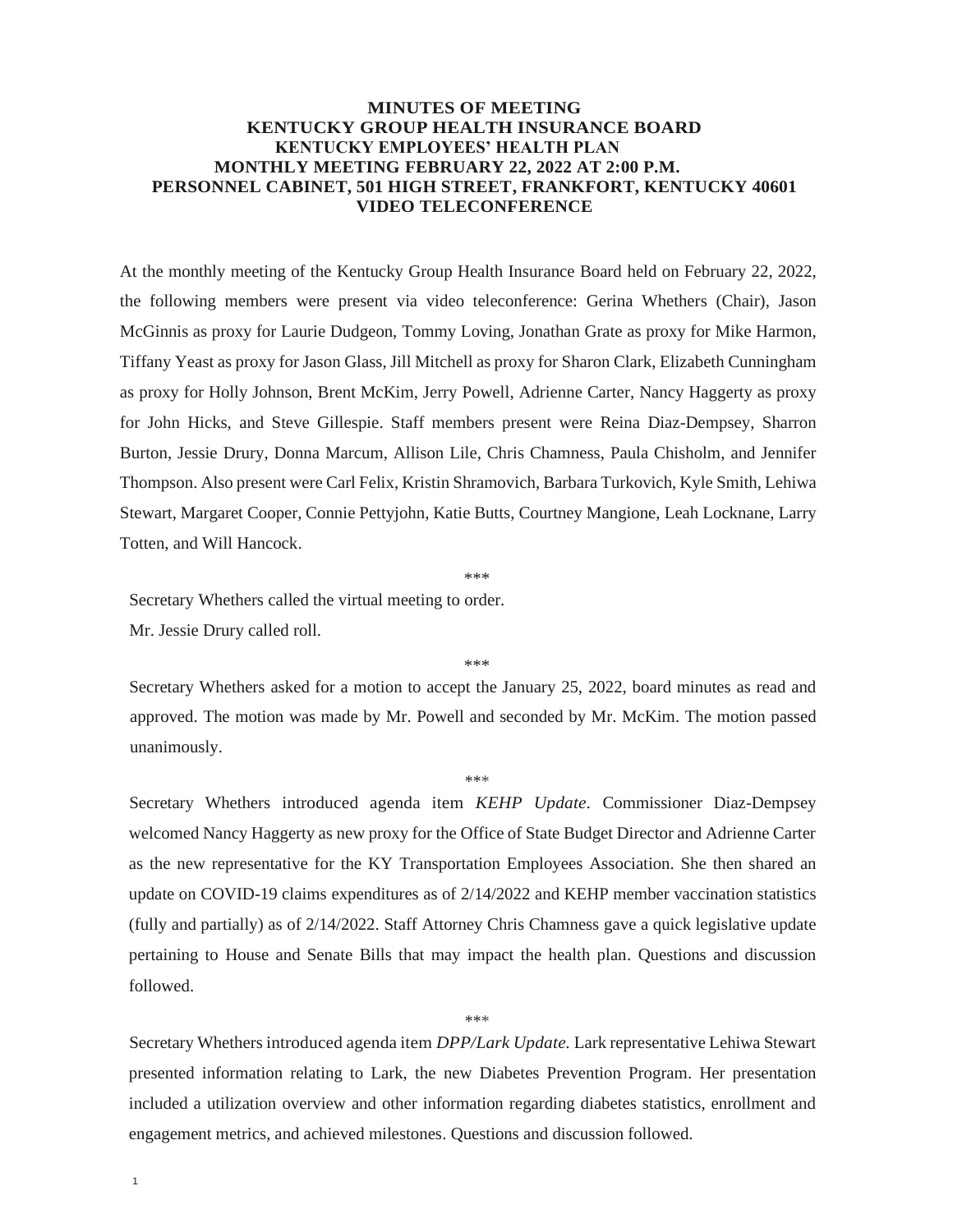## **MINUTES OF MEETING KENTUCKY GROUP HEALTH INSURANCE BOARD KENTUCKY EMPLOYEES' HEALTH PLAN MONTHLY MEETING FEBRUARY 22, 2022 AT 2:00 P.M. PERSONNEL CABINET, 501 HIGH STREET, FRANKFORT, KENTUCKY 40601 VIDEO TELECONFERENCE**

At the monthly meeting of the Kentucky Group Health Insurance Board held on February 22, 2022, the following members were present via video teleconference: Gerina Whethers (Chair), Jason McGinnis as proxy for Laurie Dudgeon, Tommy Loving, Jonathan Grate as proxy for Mike Harmon, Tiffany Yeast as proxy for Jason Glass, Jill Mitchell as proxy for Sharon Clark, Elizabeth Cunningham as proxy for Holly Johnson, Brent McKim, Jerry Powell, Adrienne Carter, Nancy Haggerty as proxy for John Hicks, and Steve Gillespie. Staff members present were Reina Diaz-Dempsey, Sharron Burton, Jessie Drury, Donna Marcum, Allison Lile, Chris Chamness, Paula Chisholm, and Jennifer Thompson. Also present were Carl Felix, Kristin Shramovich, Barbara Turkovich, Kyle Smith, Lehiwa Stewart, Margaret Cooper, Connie Pettyjohn, Katie Butts, Courtney Mangione, Leah Locknane, Larry Totten, and Will Hancock.

\*\*\*

Secretary Whethers called the virtual meeting to order. Mr. Jessie Drury called roll.

\*\*\*

Secretary Whethers asked for a motion to accept the January 25, 2022, board minutes as read and approved. The motion was made by Mr. Powell and seconded by Mr. McKim. The motion passed unanimously.

\*\*\*

Secretary Whethers introduced agenda item *KEHP Update.* Commissioner Diaz-Dempsey welcomed Nancy Haggerty as new proxy for the Office of State Budget Director and Adrienne Carter as the new representative for the KY Transportation Employees Association. She then shared an update on COVID-19 claims expenditures as of 2/14/2022 and KEHP member vaccination statistics (fully and partially) as of 2/14/2022. Staff Attorney Chris Chamness gave a quick legislative update pertaining to House and Senate Bills that may impact the health plan. Questions and discussion followed.

Secretary Whethers introduced agenda item *DPP/Lark Update.* Lark representative Lehiwa Stewart presented information relating to Lark, the new Diabetes Prevention Program. Her presentation included a utilization overview and other information regarding diabetes statistics, enrollment and engagement metrics, and achieved milestones. Questions and discussion followed.

\*\*\*